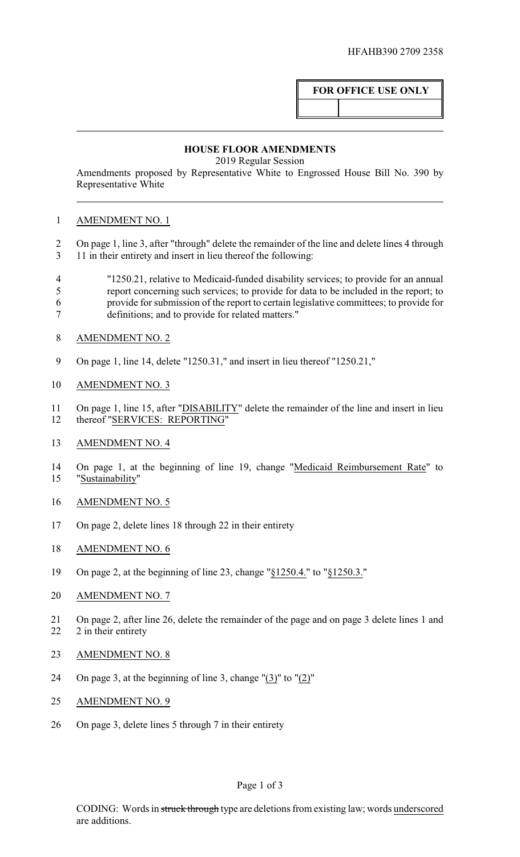# **FOR OFFICE USE ONLY**

### **HOUSE FLOOR AMENDMENTS**

2019 Regular Session

Amendments proposed by Representative White to Engrossed House Bill No. 390 by Representative White

## AMENDMENT NO. 1

 On page 1, line 3, after "through" delete the remainder of the line and delete lines 4 through 11 in their entirety and insert in lieu thereof the following:

- "1250.21, relative to Medicaid-funded disability services; to provide for an annual report concerning such services; to provide for data to be included in the report; to provide for submission of the report to certain legislative committees; to provide for definitions; and to provide for related matters."
- AMENDMENT NO. 2
- On page 1, line 14, delete "1250.31," and insert in lieu thereof "1250.21,"
- AMENDMENT NO. 3
- On page 1, line 15, after "DISABILITY" delete the remainder of the line and insert in lieu thereof "SERVICES: REPORTING"
- AMENDMENT NO. 4
- On page 1, at the beginning of line 19, change "Medicaid Reimbursement Rate" to "Sustainability"
- AMENDMENT NO. 5
- On page 2, delete lines 18 through 22 in their entirety
- AMENDMENT NO. 6
- On page 2, at the beginning of line 23, change "§1250.4." to "§1250.3."
- 20 AMENDMENT NO. 7
- On page 2, after line 26, delete the remainder of the page and on page 3 delete lines 1 and 22 2 in their entirety
- AMENDMENT NO. 8
- On page 3, at the beginning of line 3, change "(3)" to "(2)"
- AMENDMENT NO. 9
- On page 3, delete lines 5 through 7 in their entirety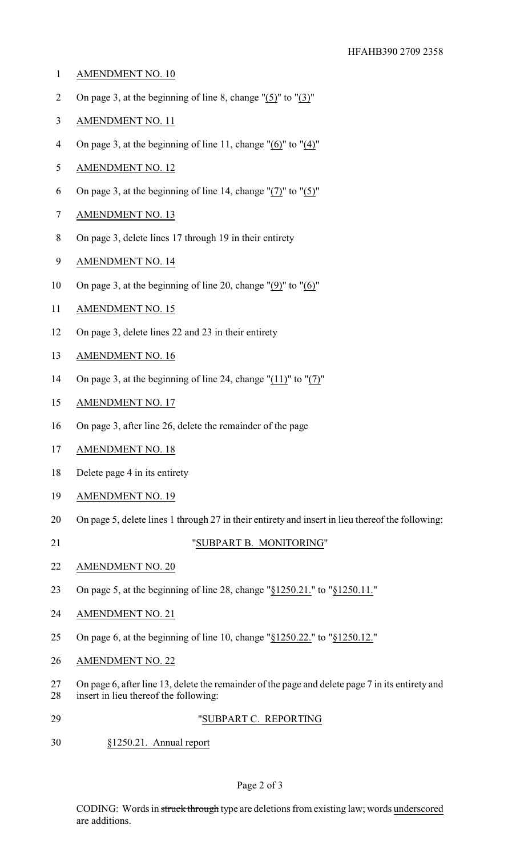- AMENDMENT NO. 10
- On page 3, at the beginning of line 8, change "(5)" to "(3)"
- AMENDMENT NO. 11
- 4 On page 3, at the beginning of line 11, change " $(6)$ " to " $(4)$ "
- AMENDMENT NO. 12
- 6 On page 3, at the beginning of line 14, change " $(7)$ " to " $(5)$ "
- AMENDMENT NO. 13
- On page 3, delete lines 17 through 19 in their entirety
- AMENDMENT NO. 14
- On page 3, at the beginning of line 20, change "(9)" to "(6)"
- AMENDMENT NO. 15
- On page 3, delete lines 22 and 23 in their entirety
- AMENDMENT NO. 16
- On page 3, at the beginning of line 24, change "(11)" to "(7)"
- AMENDMENT NO. 17
- On page 3, after line 26, delete the remainder of the page
- AMENDMENT NO. 18
- Delete page 4 in its entirety
- AMENDMENT NO. 19
- On page 5, delete lines 1 through 27 in their entirety and insert in lieu thereof the following:
- 

#### "SUBPART B. MONITORING"

- AMENDMENT NO. 20
- On page 5, at the beginning of line 28, change "§1250.21." to "§1250.11."
- AMENDMENT NO. 21
- On page 6, at the beginning of line 10, change "§1250.22." to "§1250.12."
- AMENDMENT NO. 22
- On page 6, after line 13, delete the remainder of the page and delete page 7 in its entirety and insert in lieu thereof the following:
- "SUBPART C. REPORTING
- §1250.21. Annual report

### Page 2 of 3

CODING: Words in struck through type are deletions from existing law; words underscored are additions.